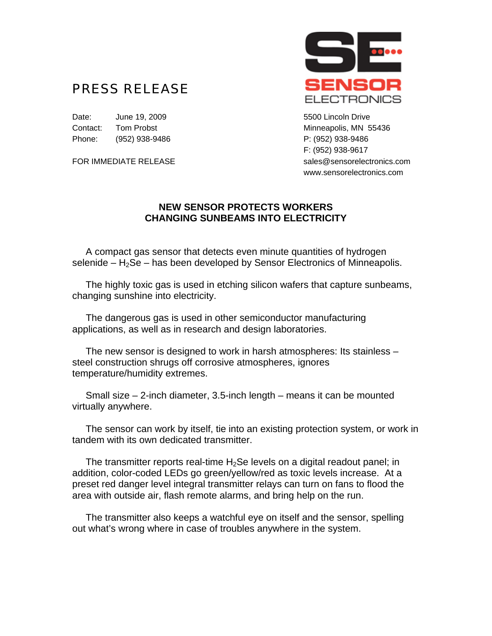## PRESS RELEASE

Date: June 19, 2009 **5500 Lincoln Drive** Contact: Tom Probst Minneapolis, MN 55436 Phone: (952) 938-9486 Phone: (952) 938-9486



F: (952) 938-9617 FOR IMMEDIATE RELEASE sales@sensorelectronics.com www.sensorelectronics.com

## **NEW SENSOR PROTECTS WORKERS CHANGING SUNBEAMS INTO ELECTRICITY**

 A compact gas sensor that detects even minute quantities of hydrogen selenide  $- H_2$ Se – has been developed by Sensor Electronics of Minneapolis.

 The highly toxic gas is used in etching silicon wafers that capture sunbeams, changing sunshine into electricity.

 The dangerous gas is used in other semiconductor manufacturing applications, as well as in research and design laboratories.

 The new sensor is designed to work in harsh atmospheres: Its stainless – steel construction shrugs off corrosive atmospheres, ignores temperature/humidity extremes.

 Small size – 2-inch diameter, 3.5-inch length – means it can be mounted virtually anywhere.

 The sensor can work by itself, tie into an existing protection system, or work in tandem with its own dedicated transmitter.

The transmitter reports real-time  $H_2$ Se levels on a digital readout panel; in addition, color-coded LEDs go green/yellow/red as toxic levels increase. At a preset red danger level integral transmitter relays can turn on fans to flood the area with outside air, flash remote alarms, and bring help on the run.

 The transmitter also keeps a watchful eye on itself and the sensor, spelling out what's wrong where in case of troubles anywhere in the system.